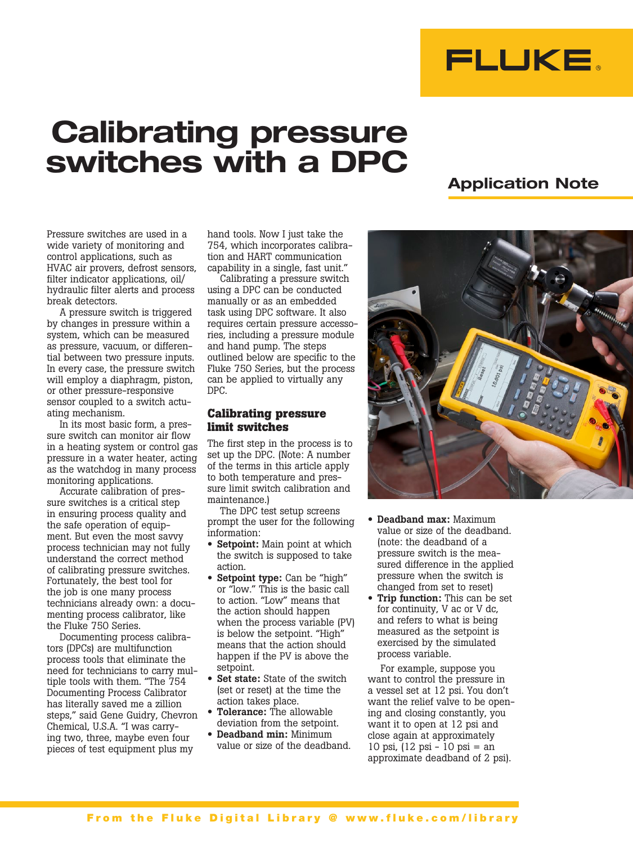

# Calibrating pressure switches with a DPC

# Application Note

Pressure switches are used in a wide variety of monitoring and control applications, such as HVAC air provers, defrost sensors, filter indicator applications, oil/ hydraulic filter alerts and process break detectors.

A pressure switch is triggered by changes in pressure within a system, which can be measured as pressure, vacuum, or differential between two pressure inputs. In every case, the pressure switch will employ a diaphragm, piston, or other pressure-responsive sensor coupled to a switch actuating mechanism.

In its most basic form, a pressure switch can monitor air flow in a heating system or control gas pressure in a water heater, acting as the watchdog in many process monitoring applications.

Accurate calibration of pressure switches is a critical step in ensuring process quality and the safe operation of equipment. But even the most savvy process technician may not fully understand the correct method of calibrating pressure switches. Fortunately, the best tool for the job is one many process technicians already own: a documenting process calibrator, like the Fluke 750 Series.

Documenting process calibrators (DPCs) are multifunction process tools that eliminate the need for technicians to carry multiple tools with them. "The 754 Documenting Process Calibrator has literally saved me a zillion steps," said Gene Guidry, Chevron Chemical, U.S.A. "I was carrying two, three, maybe even four pieces of test equipment plus my

hand tools. Now I just take the 754, which incorporates calibration and HART communication capability in a single, fast unit."

Calibrating a pressure switch using a DPC can be conducted manually or as an embedded task using DPC software. It also requires certain pressure accessories, including a pressure module and hand pump. The steps outlined below are specific to the Fluke 750 Series, but the process can be applied to virtually any DPC.

## **Calibrating pressure limit switches**

The first step in the process is to set up the DPC. (Note: A number of the terms in this article apply to both temperature and pressure limit switch calibration and maintenance.)

The DPC test setup screens prompt the user for the following information:

- Setpoint: Main point at which the switch is supposed to take action.
- Setpoint type: Can be "high" or "low." This is the basic call to action. "Low" means that the action should happen when the process variable (PV) is below the setpoint. "High" means that the action should happen if the PV is above the setpoint.
- Set state: State of the switch (set or reset) at the time the action takes place.
- Tolerance: The allowable deviation from the setpoint.
- Deadband min: Minimum value or size of the deadband.



- Deadband max: Maximum value or size of the deadband. (note: the deadband of a pressure switch is the measured difference in the applied pressure when the switch is changed from set to reset)
- Trip function: This can be set for continuity, V ac or V dc, and refers to what is being measured as the setpoint is exercised by the simulated process variable.

For example, suppose you want to control the pressure in a vessel set at 12 psi. You don't want the relief valve to be opening and closing constantly, you want it to open at 12 psi and close again at approximately 10 psi, (12 psi - 10 psi = an approximate deadband of 2 psi).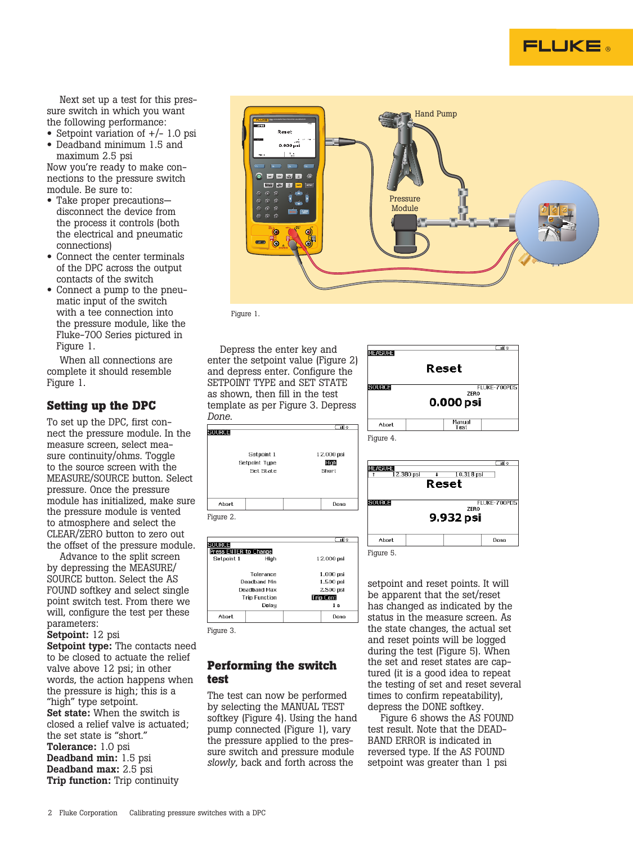

Next set up a test for this pressure switch in which you want the following performance:

- Setpoint variation of  $+/- 1.0$  psi
- Deadband minimum 1.5 and maximum 2.5 psi

Now you're ready to make connections to the pressure switch module. Be sure to:

- Take proper precautions disconnect the device from the process it controls (both the electrical and pneumatic connections)
- Connect the center terminals of the DPC across the output contacts of the switch
- Connect a pump to the pneumatic input of the switch with a tee connection into the pressure module, like the Fluke-700 Series pictured in Figure 1.

When all connections are complete it should resemble Figure 1.

# **Setting up the DPC**

To set up the DPC, first connect the pressure module. In the measure screen, select measure continuity/ohms. Toggle to the source screen with the MEASURE/SOURCE button. Select pressure. Once the pressure module has initialized, make sure the pressure module is vented to atmosphere and select the CLEAR/ZERO button to zero out the offset of the pressure module.

Advance to the split screen by depressing the MEASURE/ SOURCE button. Select the AS FOUND softkey and select single point switch test. From there we will, configure the test per these parameters:

#### Setpoint: 12 psi

Setpoint type: The contacts need to be closed to actuate the relief valve above 12 psi; in other words, the action happens when the pressure is high; this is a "high" type setpoint. Set state: When the switch is closed a relief valve is actuated; the set state is "short." Tolerance: 1.0 psi Deadband min: 1.5 psi Deadband max: 2.5 psi Trip function: Trip continuity



Figure 1.

Depress the enter key and enter the setpoint value (Figure 2) and depress enter. Configure the SETPOINT TYPE and SET STATE as shown, then fill in the test template as per Figure 3. Depress *Done*.

12.000 psi

High

Done

12.000 psi

1.000 psi

1.500 psi

2.500 psi **Trip Cont** 

 $1<sub>s</sub>$ 

Done

Short

Setpoint 1

Set State

Setpoint Tupe

**Performing the switch** 

High

Tolerance **Deadband Min** 

**Deadband Max** 

**Trip Function** Delay

The test can now be performed by selecting the MANUAL TEST softkey (Figure 4). Using the hand pump connected (Figure 1), vary the pressure applied to the pressure switch and pressure module *slowly*, back and forth across the

**test**

Figure 3.

Abort

Figure 2.

SOURCE

Setpoint 1

Press ENTER to Change

Abort

SOURCE



নাক



setpoint and reset points. It will be apparent that the set/reset has changed as indicated by the status in the measure screen. As the state changes, the actual set and reset points will be logged during the test (Figure 5). When the set and reset states are captured (it is a good idea to repeat the testing of set and reset several times to confirm repeatability), depress the DONE softkey.

Figure 6 shows the AS FOUND test result. Note that the DEAD-BAND ERROR is indicated in reversed type. If the AS FOUND setpoint was greater than 1 psi